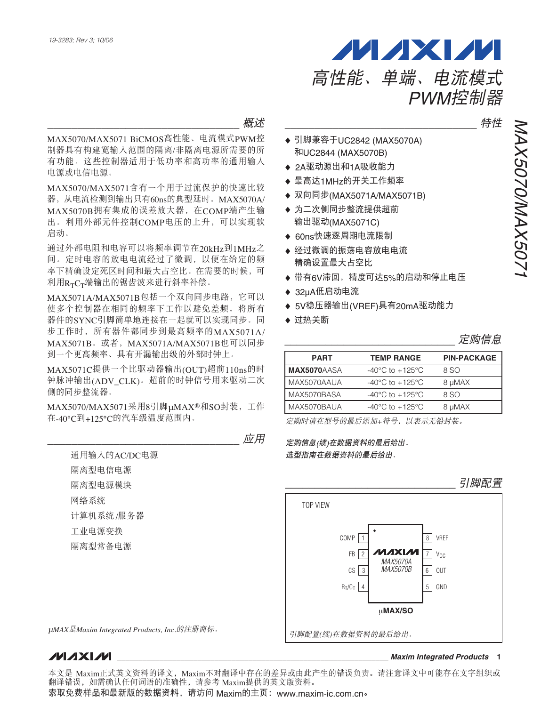启动。

ะݣ \_\_\_\_\_\_\_\_\_\_\_\_\_\_\_\_\_\_\_\_\_\_\_\_\_\_\_\_\_\_\_\_ MAX5070/MAX5071 BiCMOS高性能、电流模式PWM控 制器具有构建宽输入范围的隔离/非隔离电源所需要的所 有功能。这些控制器适用于低功率和高功率的通用输入 \_\_\_\_\_\_\_\_\_\_\_\_\_\_\_\_\_\_\_\_\_\_\_\_\_\_\_\_\_\_\_\_ ໎၂

电源或电信电源。 MAX5070/MAX5071含有一个用于过流保护的快速比较 器, 从电流检测到输出只有60ns的典型延时。MAX5070A/ MAX5070B拥有集成的误差放大器, 在COMP端产生输 出。利用外部元件控制COMP电压的上升,可以实现软

通过外部电阻和电容可以将频率调节在20kHz到1MHz之 间。定时电容的放电电流经过了微调,以便在给定的频 率下精确设定死区时间和最大占空比。在需要的时候,可 利用R<sub>T</sub>C<sub>T</sub>端输出的锯齿波来进行斜率补偿。

 $MAX5071A/MAX5071B$ 包括一个双向同步电路, 它可以 使多个控制器在相同的频率下工作以避免差频。将所有 器件的SYNC引脚简单地连接在一起就可以实现同步。同 步工作时, 所有器件都同步到最高频率的MAX5071A/ MAX5071B。或者, MAX5071A/MAX5071B也可以同步 到一个更高频率、具有开漏输出级的外部时钟上。

MAX5071C提供一个比驱动器输出(OUT)超前110ns的时 钟脉冲输出(ADV\_CLK)。超前的时钟信号用来驱动二次 侧的同步整流器。

MAX5070/MAX5071采用8引脚µMAX®和SO封装, 工作 在-40°C到+125°C的汽车级温度范围内。

\_\_\_\_\_\_\_\_\_\_\_\_\_\_\_\_\_\_\_\_\_\_\_\_\_\_\_\_\_\_\_\_ ᄮᅋ

通用输入的AC/DC电源 隔离型电信电源 隔离型电源模块 网络系统 计算机系统/服务器 工业电源变换 隔离型常备电源

PWM控制器

◆ 引脚兼容于UC2842 (MAX5070A) 和UC2844 (MAX5070B)

高性能、单端、电流模式

**MAXM** 

- ◆ 2A驱动源出和1A吸收能力
- ◆ 最高达1MHz的开关工作频率
- ◆ 双向同步(MAX5071A/MAX5071B)
- ◆ 为二次侧同步整流提供超前 输出驱动(MAX5071C)
- ◆ 60ns快速逐周期电流限制
- ◆ 经过微调的振荡电容放电电流 精确设置最大占空比
- ◆ 带有6V滞回, 精度可达5%的启动和停止电压
- $\triangleq$  32uA低启动电流
- ◆ 5V稳压器输出(VREF)具有20mA驱动能力
- ♦ 过热关断

| <b>PART</b>        | <b>TEMP RANGE</b>                     | <b>PIN-PACKAGE</b> |
|--------------------|---------------------------------------|--------------------|
| <b>MAX5070AASA</b> | -40 $^{\circ}$ C to +125 $^{\circ}$ C | 8 SO               |
| MAX5070AAUA        | -40 $^{\circ}$ C to +125 $^{\circ}$ C | 8 µMAX             |
| MAX5070BASA        | $-40^{\circ}$ C to $+125^{\circ}$ C   | 8 SO               |
| MAX5070BAUA        | $-40^{\circ}$ C to $+125^{\circ}$ C   | 8 µMAX             |
|                    |                                       |                    |

定购时请在型号的最后添加+符号, 以表示无铅封装。

定购信息(续)在数据资料的最后给出。 选型指南在数据资料的最后给出。

#### 6 | OUT  $R_T/C_T$   $4$   $5$  GND 1  $FB$  | 2 8 7 VREF  $\boldsymbol{M}$ axim $\boxed{7}$  v $_{\text{CC}}$ CS 3 COMP μ**MAX/SO** TOP VIEW  $5$  GND MAX5070A MAX5070B 引脚配置 pMAX是Maxim Integrated Products, Inc.的注册商标。<br>| 引脚配置(续)在数据资料的最后给出。

### **MAXM**

**\_\_\_\_\_\_\_\_\_\_\_\_\_\_\_\_\_\_\_\_\_\_\_\_\_\_\_\_\_\_\_\_\_\_\_\_\_\_\_\_\_\_\_\_\_\_\_\_\_\_\_\_\_\_\_\_\_\_\_\_\_\_\_\_** *Maxim Integrated Products* **1**

MAX5070/MAX5071 MAX5070/MAX507

本文是 Maxim正式英文资料的译文,Maxim不对翻译中存在的差异或由此产生的错误负责。请注意译文中可能存在文字组织或 翻译错误,如需确认任何词语的准确性,请参考 Maxim提供的英文版资料。

索取免费样品和最新版的数据资料,请访问 Maxim的主页: www.maxim-ic.com.cn。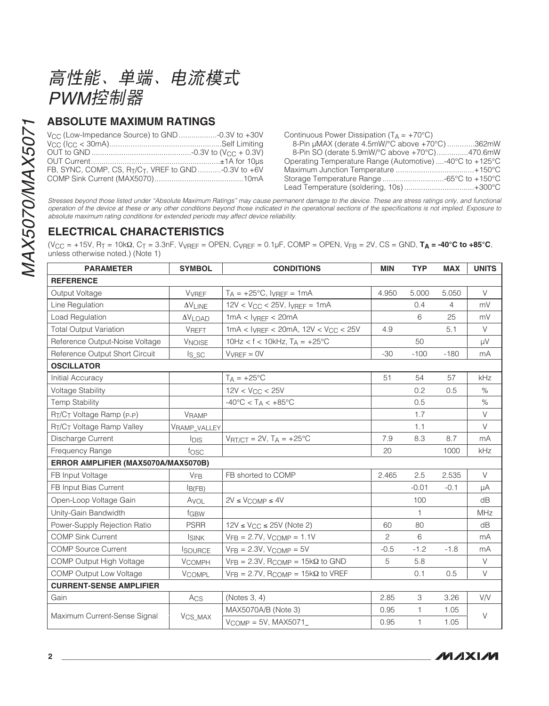高性能、单端、电流模式 PWM控制器

### **ABSOLUTE MAXIMUM RATINGS**

| FB. SYNC, COMP. CS. $R_{\text{T}}/C_{\text{T}}$ . VREF to GND -0.3V to +6V |  |
|----------------------------------------------------------------------------|--|
|                                                                            |  |

Continuous Power Dissipation  $(T_A = +70^{\circ}C)$ 8-Pin µMAX (derate 4.5mW/°C above +70°C) .............362mW 8-Pin SO (derate 5.9mW/°C above +70°C)..............470.6mW Operating Temperature Range (Automotive) ....-40°C to +125°C Lead Temperature (soldering, 10s)..................................+300°C

Stresses beyond those listed under "Absolute Maximum Ratings" may cause permanent damage to the device. These are stress ratings only, and functional operation of the device at these or any other conditions beyond those indicated in the operational sections of the specifications is not implied. Exposure to absolute maximum rating conditions for extended periods may affect device reliability.

### **ELECTRICAL CHARACTERISTICS**

 $(V_{CC} = +15V, R_T = 10k\Omega, C_T = 3.3nF, V_{VREF} = OPEN, C_{VREF} = 0.1\mu F, COMP = OPEN, V_{FB} = 2V, CS = GND, T_A = -40^{\circ}C to +85^{\circ}C,$ unless otherwise noted.) (Note 1)

| <b>PARAMETER</b>                    | <b>SYMBOL</b>         | <b>CONDITIONS</b>                                         | <b>MIN</b>     | <b>TYP</b>   | <b>MAX</b> | <b>UNITS</b> |
|-------------------------------------|-----------------------|-----------------------------------------------------------|----------------|--------------|------------|--------------|
| <b>REFERENCE</b>                    |                       |                                                           |                |              |            |              |
| Output Voltage                      | <b>V</b> VREF         | $T_A = +25^{\circ}C$ , $I_{VREF} = 1mA$                   | 4.950          | 5.000        | 5.050      | $\vee$       |
| Line Regulation                     | <b>AVLINE</b>         | $12V < V_{CC} < 25V$ , $I_{VREF} = 1mA$                   |                | 0.4          | 4          | mV           |
| Load Regulation                     | $\Delta V$ LOAD       | $1mA < I_{VREF} < 20mA$                                   |                | 6            | 25         | mV           |
| <b>Total Output Variation</b>       | <b>VREFT</b>          | $1mA < I_{VREF} < 20mA$ , $12V < V_{CC} < 25V$            | 4.9            |              | 5.1        | $\vee$       |
| Reference Output-Noise Voltage      | <b>VNOISE</b>         | 10Hz < $f$ < 10kHz, $T_A$ = +25°C                         |                | 50           |            | μV           |
| Reference Output Short Circuit      | $Is_{SC}$             | $V_{VREF} = 0V$                                           | $-30$          | $-100$       | $-180$     | mA           |
| <b>OSCILLATOR</b>                   |                       |                                                           |                |              |            |              |
| Initial Accuracy                    |                       | $T_A = +25$ °C                                            | 51             | 54           | 57         | kHz          |
| <b>Voltage Stability</b>            |                       | $12V < V_{CC} < 25V$                                      |                | 0.2          | 0.5        | $\%$         |
| <b>Temp Stability</b>               |                       | $-40^{\circ}$ C < TA < $+85^{\circ}$ C                    |                | 0.5          |            | $\%$         |
| RT/CT Voltage Ramp (P-P)            | <b>VRAMP</b>          |                                                           |                | 1.7          |            | $\vee$       |
| RT/CT Voltage Ramp Valley           | VRAMP VALLEY          |                                                           |                | 1.1          |            | V            |
| Discharge Current                   | <b>I</b> DIS          | $V_{\text{RT/CT}} = 2V$ , $T_A = +25^{\circ}C$            | 7.9            | 8.3          | 8.7        | mA           |
| Frequency Range                     | fosc                  |                                                           | 20             |              | 1000       | kHz          |
| ERROR AMPLIFIER (MAX5070A/MAX5070B) |                       |                                                           |                |              |            |              |
| FB Input Voltage                    | <b>V<sub>FB</sub></b> | FB shorted to COMP                                        | 2.465          | 2.5          | 2.535      | $\vee$       |
| FB Input Bias Current               | B(FB)                 |                                                           |                | $-0.01$      | $-0.1$     | μA           |
| Open-Loop Voltage Gain              | Avol                  | $2V \leq V$ COMP $\leq 4V$                                |                | 100          |            | dB           |
| Unity-Gain Bandwidth                | fGBW                  |                                                           |                | $\mathbf{1}$ |            | MHz          |
| Power-Supply Rejection Ratio        | <b>PSRR</b>           | $12V \le V_{CC} \le 25V$ (Note 2)                         | 60             | 80           |            | dB           |
| <b>COMP Sink Current</b>            | <b>ISINK</b>          | $VFB = 2.7V$ , $VCOMP = 1.1V$                             | $\overline{c}$ | 6            |            | mA           |
| <b>COMP Source Current</b>          | <b>ISOURCE</b>        | $VFB = 2.3V$ , $VCOMP = 5V$                               | $-0.5$         | $-1.2$       | $-1.8$     | mA           |
| COMP Output High Voltage            | <b>VCOMPH</b>         | $V_{FB} = 2.3V$ , R <sub>COMP</sub> = 15k $\Omega$ to GND | 5              | 5.8          |            | V            |
| <b>COMP Output Low Voltage</b>      | <b>VCOMPL</b>         | $VFB = 2.7V$ , RCOMP = 15k $\Omega$ to VREF               |                | 0.1          | 0.5        | V            |
| <b>CURRENT-SENSE AMPLIFIER</b>      |                       |                                                           |                |              |            |              |
| Gain                                | Acs                   | (Notes 3, 4)                                              | 2.85           | 3            | 3.26       | V/V          |
|                                     |                       | MAX5070A/B (Note 3)                                       | 0.95           | 1            | 1.05       | $\vee$       |
| Maximum Current-Sense Signal        | V <sub>CS_MAX</sub>   | $V_{COMP} = 5V$ , MAX5071                                 | 0.95           | 1            | 1.05       |              |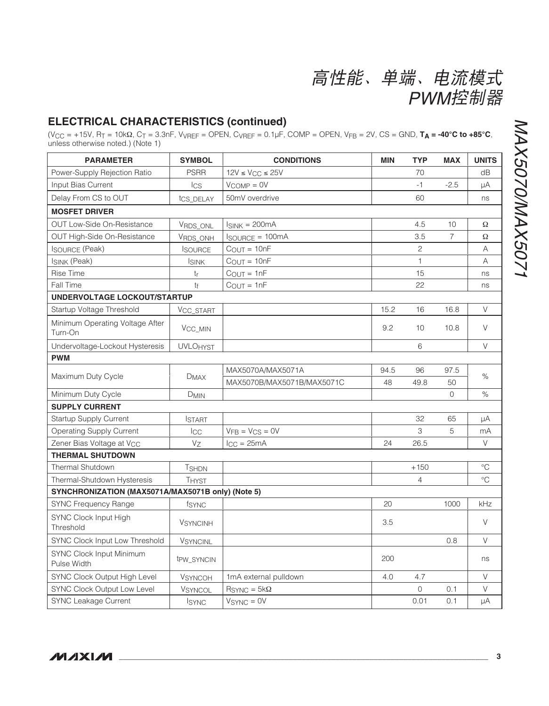## **ELECTRICAL CHARACTERISTICS (continued)**

 $(\text{V_{CC}} = +15\text{V}, \text{R}_{\text{T}} = 10\text{k}\Omega, \text{C}_{\text{T}} = 3.3\text{nF}, \text{V_{VREF}} = \text{OPEN}, \text{C}_{\text{VREF}} = 0.1\mu\text{F}, \text{COMP} = \text{OPEN}, \text{V}_{\text{FB}} = 2\text{V}, \text{CS} = \text{GND}, \text{TA} = -40^{\circ}\text{C} \text{ to } +85^{\circ}\text{C}, \text{unless otherwise noted.)}$ 

| <b>PARAMETER</b>                                  | <b>SYMBOL</b>          | <b>CONDITIONS</b>           | <b>MIN</b> | <b>TYP</b>     | <b>MAX</b>     | <b>UNITS</b> |
|---------------------------------------------------|------------------------|-----------------------------|------------|----------------|----------------|--------------|
| Power-Supply Rejection Ratio                      | <b>PSRR</b>            | $12V \leq V_{CC} \leq 25V$  |            | 70             |                | dB           |
| Input Bias Current                                | <b>I</b> CS            | $V_{COMP} = 0V$             |            | $-1$           | $-2.5$         | μA           |
| Delay From CS to OUT                              | tcs_DELAY              | 50mV overdrive              |            | 60             |                | ns           |
| <b>MOSFET DRIVER</b>                              |                        |                             |            |                |                |              |
| <b>OUT Low-Side On-Resistance</b>                 | VRDS_ONL               | $I_{SINK} = 200mA$          |            | 4.5            | 10             | Ω            |
| OUT High-Side On-Resistance                       | VRDS ONH               | <b>ISOURCE = 100mA</b>      |            | 3.5            | $\overline{7}$ | Ω            |
| <b>ISOURCE (Peak)</b>                             | <b>ISOURCE</b>         | $C_{OUT} = 10nF$            |            | $\mathbf{2}$   |                | A            |
| ISINK (Peak)                                      | <b>ISINK</b>           | $C_{OUT} = 10nF$            |            | $\mathbf{1}$   |                | Α            |
| <b>Rise Time</b>                                  | tr                     | $COUT = 1nF$                |            | 15             |                | ns           |
| Fall Time                                         | tf                     | $COUT = 1nF$                |            | 22             |                | ns           |
| UNDERVOLTAGE LOCKOUT/STARTUP                      |                        |                             |            |                |                |              |
| Startup Voltage Threshold                         | VCC_START              |                             | 15.2       | 16             | 16.8           | $\vee$       |
| Minimum Operating Voltage After<br>Turn-On        | V <sub>CC_MIN</sub>    |                             | 9.2        | 10             | 10.8           | V            |
| Undervoltage-Lockout Hysteresis                   | <b>UVLOHYST</b>        |                             |            | 6              |                | $\vee$       |
| <b>PWM</b>                                        |                        |                             |            |                |                |              |
| Maximum Duty Cycle                                |                        | MAX5070A/MAX5071A           | 94.5       | 96             | 97.5           |              |
|                                                   | <b>DMAX</b>            | MAX5070B/MAX5071B/MAX5071C  | 48         | 49.8           | 50             | $\%$         |
| Minimum Duty Cycle                                | <b>DMIN</b>            |                             |            |                | $\Omega$       | $\%$         |
| <b>SUPPLY CURRENT</b>                             |                        |                             |            |                |                |              |
| <b>Startup Supply Current</b>                     | <b>ISTART</b>          |                             |            | 32             | 65             | μA           |
| <b>Operating Supply Current</b>                   | Icc                    | $VFB = VCS = OV$            |            | 3              | 5              | mA           |
| Zener Bias Voltage at V <sub>CC</sub>             | Vz                     | $l_{\rm CC} = 25 \text{mA}$ | 24         | 26.5           |                | $\vee$       |
| <b>THERMAL SHUTDOWN</b>                           |                        |                             |            |                |                |              |
| Thermal Shutdown                                  | <b>TSHDN</b>           |                             |            | $+150$         |                | $^{\circ}C$  |
| Thermal-Shutdown Hysteresis                       | <b>THYST</b>           |                             |            | $\overline{4}$ |                | $^{\circ}C$  |
| SYNCHRONIZATION (MAX5071A/MAX5071B only) (Note 5) |                        |                             |            |                |                |              |
| <b>SYNC Frequency Range</b>                       | fsync                  |                             | 20         |                | 1000           | kHz          |
| SYNC Clock Input High<br>Threshold                | <b>VSYNCINH</b>        |                             | 3.5        |                |                | $\vee$       |
| SYNC Clock Input Low Threshold                    | <b>VSYNCINL</b>        |                             |            |                | 0.8            | $\vee$       |
| SYNC Clock Input Minimum<br>Pulse Width           | t <sub>PW_SYNCIN</sub> |                             | 200        |                |                | ns           |
| SYNC Clock Output High Level                      | <b>VSYNCOH</b>         | 1mA external pulldown       | 4.0        | 4.7            |                | $\vee$       |
| SYNC Clock Output Low Level                       | <b>VSYNCOL</b>         | $RSYNC = 5kΩ$               |            | 0              | 0.1            | V            |
| <b>SYNC Leakage Current</b>                       | <b>ISYNC</b>           | $VSYNC = 0V$                |            | 0.01           | 0.1            | μA           |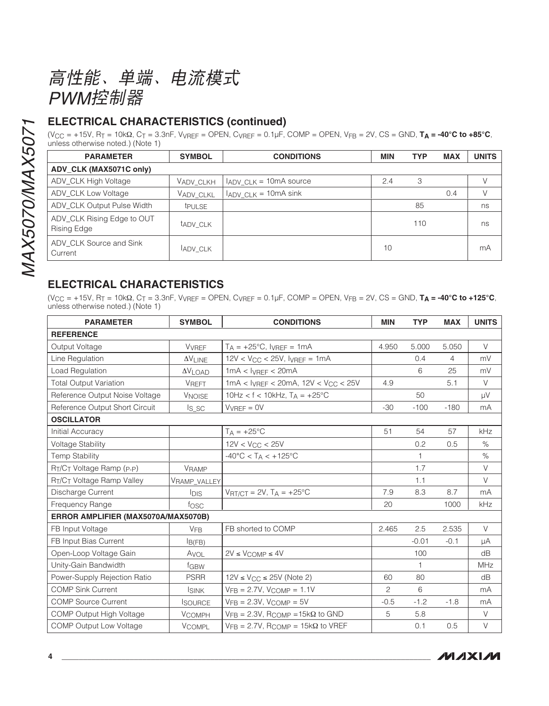高性能、单端、电流模式 PWM控制器

### **ELECTRICAL CHARACTERISTICS (continued)**

 $(V_{CC} = +15V, R_T = 10k\Omega, C_T = 3.3nF, V_{VREF} = OPER, C_{VREF} = 0.1\mu F, COMP = OPER, V_{FB} = 2V, CS = GND, T_A = -40°C to +85°C,$ unless otherwise noted.) (Note 1)

| <b>PARAMETER</b>                          | <b>SYMBOL</b>  | <b>CONDITIONS</b>                           | <b>MIN</b> | <b>TYP</b> | <b>MAX</b> | <b>UNITS</b> |
|-------------------------------------------|----------------|---------------------------------------------|------------|------------|------------|--------------|
| ADV CLK (MAX5071C only)                   |                |                                             |            |            |            |              |
| ADV_CLK High Voltage                      | Vadv clkh      | IADV_CLK = 10mA source                      | 2.4        | 3          |            |              |
| ADV CLK Low Voltage                       | VADV CLKL      | $I_{\text{ADV\_CLK}} = 10 \text{mA} \sin k$ |            |            | 0.4        |              |
| ADV_CLK Output Pulse Width                | <b>t</b> PULSE |                                             |            | 85         |            | ns           |
| ADV_CLK Rising Edge to OUT<br>Rising Edge | tady CLK       |                                             |            | 110        |            | ns           |
| ADV CLK Source and Sink<br>Current        | <b>ADV CLK</b> |                                             | 10         |            |            | mA           |

### **ELECTRICAL CHARACTERISTICS**

 $(V_{CC} = +15V, R_T = 10k\Omega, C_T = 3.3nF, V_{VREF} = OPER, CV_{REF} = 0.1\mu F, COMP = OPER, V_{FB} = 2V, CS = GND, T_A = -40^{\circ}C to +125^{\circ}C,$ unless otherwise noted.) (Note 1)

| <b>PARAMETER</b>                    | <b>SYMBOL</b>        | <b>CONDITIONS</b>                                          |                | <b>TYP</b>   | <b>MAX</b> | <b>UNITS</b> |
|-------------------------------------|----------------------|------------------------------------------------------------|----------------|--------------|------------|--------------|
| <b>REFERENCE</b>                    |                      |                                                            |                |              |            |              |
| Output Voltage                      | VVREF                | $T_A = +25$ °C, $I_{VREF} = 1mA$                           | 4.950          | 5.000        | 5.050      | V            |
| Line Regulation                     | $\Delta \rm{V}$ LINE | $12V < V_{CC} < 25V$ , IVRFF = 1mA                         |                | 0.4          | 4          | mV           |
| Load Regulation                     | $\Delta V$ LOAD      | $1mA < I_{VREF} < 20mA$                                    |                | 6            | 25         | mV           |
| <b>Total Output Variation</b>       | <b>VREFT</b>         | $1mA < I_{VREF} < 20mA$ , $12V < V_{CC} < 25V$             | 4.9            |              | 5.1        | V            |
| Reference Output Noise Voltage      | <b>VNOISE</b>        | 10Hz < $f$ < 10kHz, $T_A$ = +25°C                          |                | 50           |            | μV           |
| Reference Output Short Circuit      | $Is_SC$              | $VVREF = OV$                                               | $-30$          | $-100$       | $-180$     | mA           |
| <b>OSCILLATOR</b>                   |                      |                                                            |                |              |            |              |
| Initial Accuracy                    |                      | $TA = +25^{\circ}C$                                        | 51             | 54           | 57         | kHz          |
| <b>Voltage Stability</b>            |                      | $12V < V_{CC} < 25V$                                       |                | 0.2          | 0.5        | $\%$         |
| <b>Temp Stability</b>               |                      | $-40^{\circ}$ C < T <sub>A</sub> < $+125^{\circ}$ C        |                | 1            |            | $\%$         |
| RT/CT Voltage Ramp (P-P)            | VRAMP                |                                                            |                | 1.7          |            | V            |
| RT/CT Voltage Ramp Valley           | VRAMP_VALLEY         |                                                            |                | 1.1          |            | $\vee$       |
| Discharge Current                   | <b>IDIS</b>          | $V_{\text{RT/CT}} = 2V$ , $T_A = +25^{\circ}C$             | 7.9            | 8.3          | 8.7        | mA           |
| Frequency Range                     | fosc                 |                                                            | 20             |              | 1000       | kHz          |
| ERROR AMPLIFIER (MAX5070A/MAX5070B) |                      |                                                            |                |              |            |              |
| FB Input Voltage                    | <b>VFB</b>           | FB shorted to COMP                                         | 2.465          | 2.5          | 2.535      | V            |
| FB Input Bias Current               | I <sub>B(FB)</sub>   |                                                            |                | $-0.01$      | $-0.1$     | μA           |
| Open-Loop Voltage Gain              | AVOL                 | $2V \leq V$ COMP $\leq 4V$                                 |                | 100          |            | dB           |
| Unity-Gain Bandwidth                | fGBW                 |                                                            |                | $\mathbf{1}$ |            | <b>MHz</b>   |
| Power-Supply Rejection Ratio        | <b>PSRR</b>          | $12V \leq V_{CC} \leq 25V$ (Note 2)                        | 60             | 80           |            | dB           |
| <b>COMP Sink Current</b>            | <b>ISINK</b>         | $VFB = 2.7V$ , $VCOMP = 1.1V$                              | $\overline{c}$ | 6            |            | mA           |
| <b>COMP Source Current</b>          | <b>SOURCE</b>        | $VFB = 2.3V$ , $VCOMP = 5V$                                | $-0.5$         | $-1.2$       | $-1.8$     | mA           |
| COMP Output High Voltage            | <b>VCOMPH</b>        | $V_{FB} = 2.3V$ , RCOMP = 15k $\Omega$ to GND              | 5              | 5.8          |            | $\vee$       |
| <b>COMP Output Low Voltage</b>      | <b>VCOMPL</b>        | $V_{FB} = 2.7V$ , R <sub>COMP</sub> = 15k $\Omega$ to VREF |                | 0.1          | 0.5        | $\vee$       |

**MAXIM**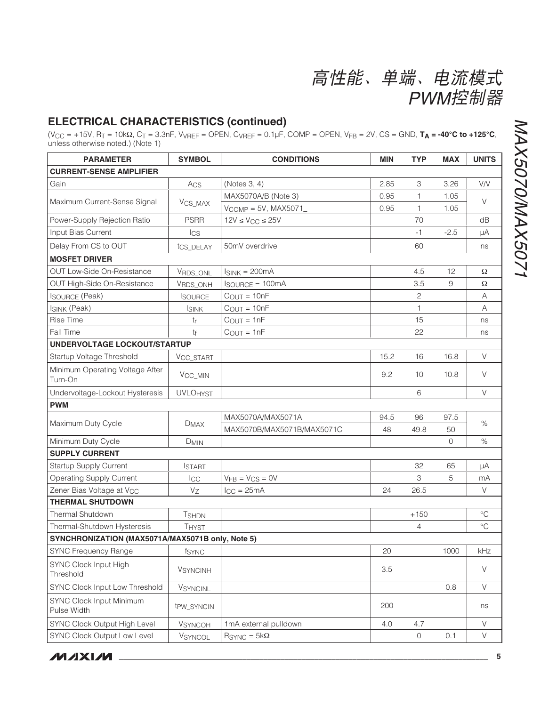## **ELECTRICAL CHARACTERISTICS (continued)**

 $(\text{V_{CC}} = +15\text{V}, \text{R}_\text{T} = 10\text{k}\Omega, \text{C}_\text{T} = 3.3\text{nF}, \text{VVREF} = \text{OPEN}, \text{CVREF} = 0.1\mu\text{F}, \text{COMP} = \text{OPEN}, \text{VFB} = 2\text{V}, \text{CS} = \text{GND}, \text{TA} = -40^\circ\text{C}$  to +125°C, unless otherwise noted.) (Note 1)

| <b>PARAMETER</b>                                 | <b>SYMBOL</b>       | <b>CONDITIONS</b>          | <b>MIN</b> | <b>TYP</b>     | <b>MAX</b> | <b>UNITS</b>    |
|--------------------------------------------------|---------------------|----------------------------|------------|----------------|------------|-----------------|
| <b>CURRENT-SENSE AMPLIFIER</b>                   |                     |                            |            |                |            |                 |
| Gain                                             | Acs                 | (Notes 3, 4)               | 2.85       | 3              | 3.26       | V/V             |
|                                                  |                     | MAX5070A/B (Note 3)        | 0.95       | 1              | 1.05       | V               |
| Maximum Current-Sense Signal                     | V <sub>CS_MAX</sub> | $V_{COMP} = 5V$ , MAX5071_ | 0.95       | $\mathbf{1}$   | 1.05       |                 |
| Power-Supply Rejection Ratio                     | <b>PSRR</b>         | $12V \leq V_{CC} \leq 25V$ |            | 70             |            | dB              |
| Input Bias Current                               | $_{\text{lcs}}$     |                            |            | $-1$           | $-2.5$     | μA              |
| Delay From CS to OUT                             | tcs_DELAY           | 50mV overdrive             |            | 60             |            | ns              |
| <b>MOSFET DRIVER</b>                             |                     |                            |            |                |            |                 |
| OUT Low-Side On-Resistance                       | VRDS_ONL            | $I_{SINK} = 200mA$         |            | 4.5            | 12         | Ω               |
| OUT High-Side On-Resistance                      | VRDS_ONH            | <b>ISOURCE = 100mA</b>     |            | 3.5            | 9          | Ω               |
| <b>ISOURCE (Peak)</b>                            | <b>ISOURCE</b>      | $C_{OUT} = 10nF$           |            | $\mathbf{2}$   |            | Α               |
| <b>ISINK (Peak)</b>                              | <b>ISINK</b>        | $C_{OUT} = 10nF$           |            | 1              |            | Α               |
| <b>Rise Time</b>                                 | tr                  | $C_{OUT} = 1nF$            |            | 15             |            | ns              |
| Fall Time                                        | $t_{f}$             | $C_{OUT} = 1nF$            |            | 22             |            | ns              |
| <b>UNDERVOLTAGE LOCKOUT/STARTUP</b>              |                     |                            |            |                |            |                 |
| Startup Voltage Threshold                        | VCC_START           |                            | 15.2       | 16             | 16.8       | V               |
| Minimum Operating Voltage After<br>Turn-On       | V <sub>CC_MIN</sub> |                            | 9.2        | 10             | 10.8       | V               |
| Undervoltage-Lockout Hysteresis                  | <b>UVLOHYST</b>     |                            |            | 6              |            | $\vee$          |
| <b>PWM</b>                                       |                     |                            |            |                |            |                 |
|                                                  |                     | MAX5070A/MAX5071A          | 94.5       | 96             | 97.5       |                 |
| Maximum Duty Cycle                               | $D_{MAX}$           | MAX5070B/MAX5071B/MAX5071C | 48         | 49.8           | 50         | $\%$            |
| Minimum Duty Cycle                               | <b>DMIN</b>         |                            |            |                | 0          | $\%$            |
| <b>SUPPLY CURRENT</b>                            |                     |                            |            |                |            |                 |
| Startup Supply Current                           | <b>ISTART</b>       |                            |            | 32             | 65         | $\mu A$         |
| <b>Operating Supply Current</b>                  | ICC                 | $VFB = VCS = OV$           |            | 3              | 5          | mA              |
| Zener Bias Voltage at V <sub>CC</sub>            | $V_Z$               | $I_{CC} = 25mA$            | 24         | 26.5           |            | V               |
| <b>THERMAL SHUTDOWN</b>                          |                     |                            |            |                |            |                 |
| <b>Thermal Shutdown</b>                          | <b>TSHDN</b>        |                            |            | $+150$         |            | $\rm ^{\circ}C$ |
| Thermal-Shutdown Hysteresis                      | <b>THYST</b>        |                            |            | $\overline{4}$ |            | $\rm ^{\circ}C$ |
| SYNCHRONIZATION (MAX5071A/MAX5071B only, Note 5) |                     |                            |            |                |            |                 |
| <b>SYNC Frequency Range</b>                      | fsync               |                            | 20         |                | 1000       | kHz             |
| SYNC Clock Input High<br>Threshold               | VSYNCINH            |                            | 3.5        |                |            | $\vee$          |
| SYNC Clock Input Low Threshold                   | VSYNCINL            |                            |            |                | 0.8        | V               |
| SYNC Clock Input Minimum<br>Pulse Width          | tpw SYNCIN          |                            | 200        |                |            | ns              |
| SYNC Clock Output High Level                     | <b>VSYNCOH</b>      | 1mA external pulldown      | 4.0        | 4.7            |            | V               |
| SYNC Clock Output Low Level                      | VSYNCOL             | $RSYNC = 5kΩ$              |            | $\circ$        | 0.1        | V               |

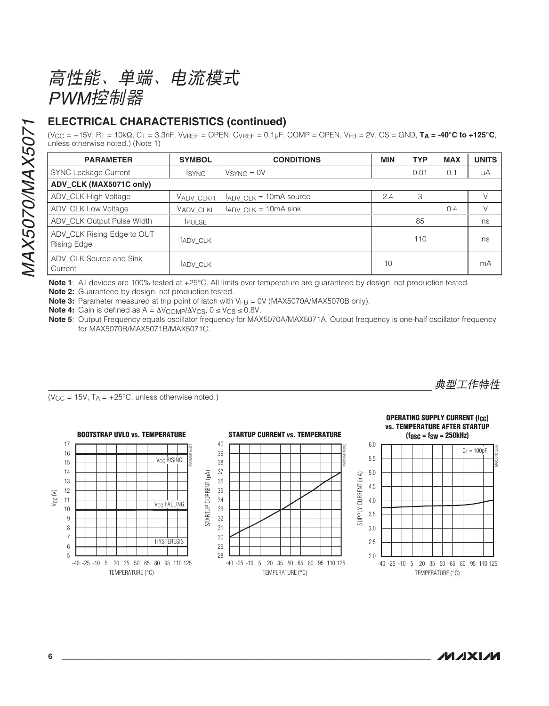高性能、单端、电流模式 PWM控制器

### **ELECTRICAL CHARACTERISTICS (continued)**

 $(V_{CC} = +15V, R_T = 10k\Omega, C_T = 3.3nF, V_{VREF} = OPEN, C_{VREF} = 0.1\mu F, COMP = OPEN, V_{FB} = 2V, CS = GND, T_A = -40°C$  to  $+125°C$ , unless otherwise noted.) (Note 1)

| <b>PARAMETER</b>                                 | <b>SYMBOL</b>  | <b>CONDITIONS</b>                           | <b>MIN</b> | <b>TYP</b> | <b>MAX</b> | <b>UNITS</b> |
|--------------------------------------------------|----------------|---------------------------------------------|------------|------------|------------|--------------|
| <b>SYNC Leakage Current</b>                      | <b>ISYNC</b>   | $VSYNC = 0V$                                |            | 0.01       | 0.1        | μA           |
| ADV CLK (MAX5071C only)                          |                |                                             |            |            |            |              |
| ADV_CLK High Voltage                             | VADV CLKH      | $I_{\text{ADV\_CLK}} = 10 \text{mA}$ source | 2.4        | 3          |            |              |
| ADV CLK Low Voltage                              | VADV CLKL      | $I_{ADV\_CLK} = 10mA \sin k$                |            |            | 0.4        | V            |
| ADV_CLK Output Pulse Width                       | <b>t</b> PULSE |                                             |            | 85         |            | ns           |
| ADV_CLK Rising Edge to OUT<br><b>Rising Edge</b> | tady CLK       |                                             |            | 110        |            | ns           |
| ADV CLK Source and Sink<br>Current               | <b>ADV CLK</b> |                                             | 10         |            |            | mA           |

Note 1: All devices are 100% tested at +25°C. All limits over temperature are quaranteed by design, not production tested.

Note 2: Guaranteed by design, not production tested.

**Note 3:** Parameter measured at trip point of latch with  $V_{FB} = 0V$  (MAX5070A/MAX5070B only).

**Note 4:** Gain is defined as  $A = \Delta V_{\text{COMP}}/\Delta V_{\text{CS}}$ ,  $0 \le V_{\text{CS}} \le 0.8V$ .

Note 5: Output Frequency equals oscillator frequency for MAX5070A/MAX5071A. Output frequency is one-half oscillator frequency for MAX5070B/MAX5071B/MAX5071C.

 $(V_{\text{CC}} = 15V, T_A = +25^{\circ}\text{C}$ , unless otherwise noted.)





典型工作特性



 $17$ 

16

15

 $14$ 

 $13$ 

 $12$  $Vec(N)$  $11$ 

 $10$ 

 $\overline{9}$ 

 $\boldsymbol{8}$ 

 $\overline{7}$ 

 $\,6\,$  $\overline{5}$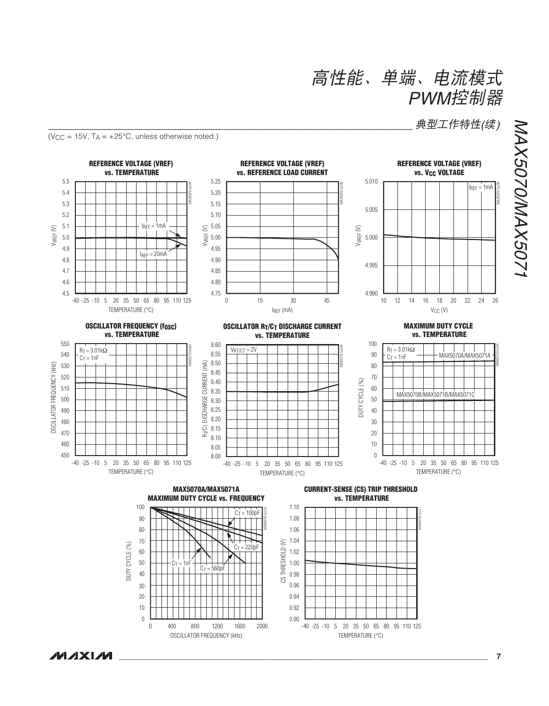典型工作特性(续)

 $(V_{CC} = 15V, T_A = +25°C, unless otherwise noted.)$ 



**MAXIM**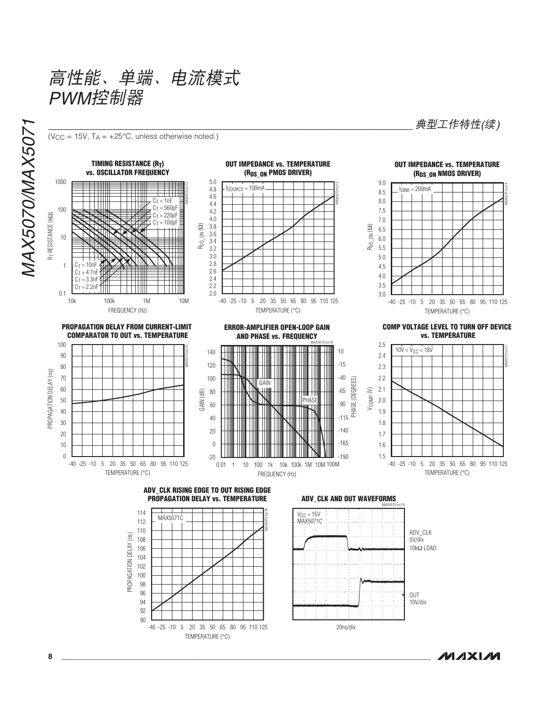高性能、单端、电流模式 PWM控制器

 $(V_{CC} = 15V, T_A = +25°C, unless otherwise noted.)$ 

MAX5070/MAX507



114 MAX5071C 112 110 PROPAGATION DELAY (ns) 108 106 104 102 100 98 96 94 92 90 -40 -25 -10 5 20 35 50 65 80 95 110 125

TEMPERATURE (°C)

#### **ADV\_CLK AND OUT WAVEFORMS**



**OUT IMPEDANCE vs. TEMPERATURE** (RDS\_ON NMOS DRIVER)

典型工作特性(续)



**COMP VOLTAGE LEVEL TO TURN OFF DEVICE vs. TEMPERATURE** 

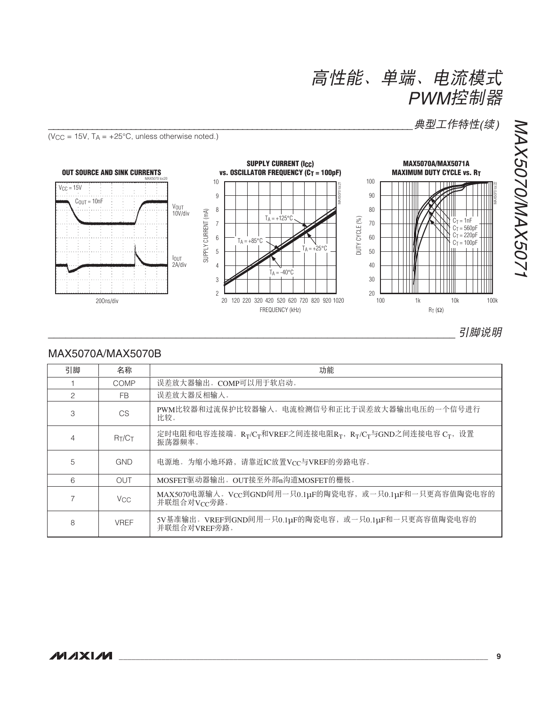典型工作特性(续)

 $(V_{CC} = 15V, T_A = +25°C,$  unless otherwise noted.)



### MAX5070A/MAX5070B

| 引脚 | 名称                    | 功能                                                                                  |
|----|-----------------------|-------------------------------------------------------------------------------------|
|    | COMP                  | 误差放大器输出。COMP可以用于软启动。                                                                |
| 2  | <b>FB</b>             | 误差放大器反相输入。                                                                          |
| 3  | CS                    | PWM比较器和过流保护比较器输入。电流检测信号和正比于误差放大器输出电压的一个信号进行<br>比较。                                  |
| 4  | $R_T/C_T$             | 定时电阻和电容连接端。 $R_T/C_T$ 和VREF之间连接电阻 $R_T$ , $R_T/C_T$ 与GND之间连接电容 $C_T$ , 设置<br>振荡器频率。 |
| 5  | <b>GND</b>            | 电源地。为缩小地环路, 请靠近IC放置Vcc与VREF的旁路电容。                                                   |
| 6  | OUT                   | MOSFET驱动器输出。OUT接至外部n沟道MOSFET的栅极。                                                    |
|    | <b>V<sub>CC</sub></b> | MAX5070电源输入。Vcc到GND间用一只0.1µF的陶瓷电容,或一只0.1µF和一只更高容值陶瓷电容的<br>并联组合对Vcc旁路。               |
| 8  | <b>VREF</b>           | 5V基准输出。VREF到GND间用一只0.1µF的陶瓷电容, 或一只0.1µF和一只更高容值陶瓷电容的<br>并联组合对VREF旁路。                 |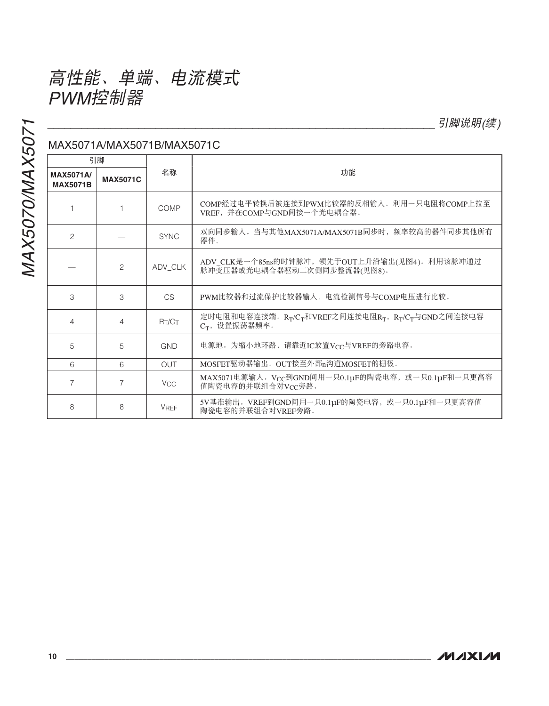MAX5070/MAX5071 MAX5070/MAX5071

## MAX5071A/MAX5071B/MAX5071C

| 引脚<br><b>MAX5071A/</b><br><b>MAX5071C</b><br><b>MAX5071B</b> |   |                       | 功能                                                                                          |  |  |
|--------------------------------------------------------------|---|-----------------------|---------------------------------------------------------------------------------------------|--|--|
|                                                              |   | 名称                    |                                                                                             |  |  |
|                                                              |   | COMP                  | COMP经过电平转换后被连接到PWM比较器的反相输入。利用一只电阻将COMP上拉至<br>VREF, 并在COMP与GND间接一个光电耦合器。                     |  |  |
| $\overline{c}$                                               |   | <b>SYNC</b>           | 双向同步输入。当与其他MAX5071A/MAX5071B同步时, 频率较高的器件同步其他所有<br>器件。                                       |  |  |
|                                                              | 2 | ADV_CLK               | ADV_CLK是一个85ns的时钟脉冲, 领先于OUT上升沿输出(见图4)。利用该脉冲通过<br>脉冲变压器或光电耦合器驱动二次侧同步整流器(见图8)。                |  |  |
| 3                                                            | 3 | CS                    | PWM比较器和过流保护比较器输入。电流检测信号与COMP电压进行比较。                                                         |  |  |
| 4                                                            | 4 | RT/CT                 | 定时电阻和电容连接端。 $R_T/C_T$ 和VREF之间连接电阻 $R_T$ , $R_T/C_T$ 与GND之间连接电容<br>C <sub>T</sub> , 设置振荡器频率。 |  |  |
| 5                                                            | 5 | <b>GND</b>            | 电源地。为缩小地环路,请靠近IC放置VCC与VREF的旁路电容。                                                            |  |  |
| 6                                                            | 6 | <b>OUT</b>            | MOSFET驱动器输出。OUT接至外部n沟道MOSFET的栅极。                                                            |  |  |
| 7                                                            | 7 | <b>V<sub>CC</sub></b> | MAX5071电源输入。Vcc到GND间用一只0.1µF的陶瓷电容, 或一只0.1µF和一只更高容<br>值陶瓷电容的并联组合对Vcc旁路。                      |  |  |
| 8                                                            | 8 | <b>VRFF</b>           | 5V基准输出。VREF到GND间用一只0.1μF的陶瓷电容, 或一只0.1μF和一只更高容值<br>陶瓷电容的并联组合对VREF旁路。                         |  |  |

引脚说明(续)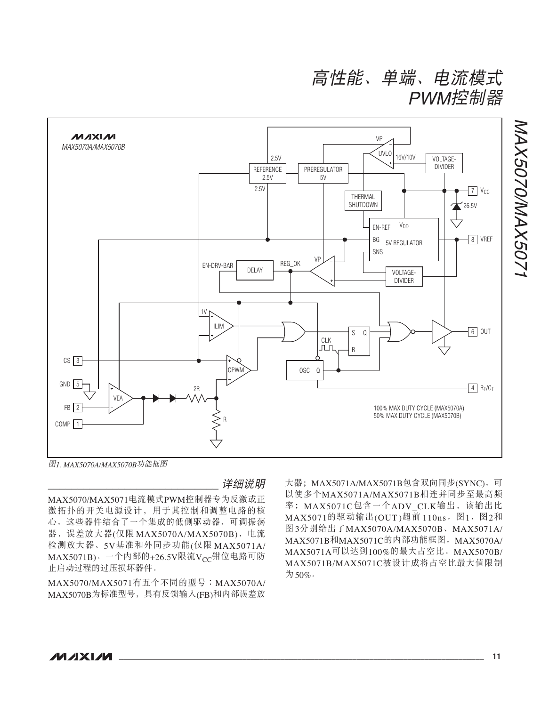高性能、单端、电流模式 PWM控制器



图1. MAX5070A/MAX5070B功能框图

**详细说明** 

MAX5070/MAX5071电流模式PWM控制器专为反激或正 激拓扑的开关电源设计,用于其控制和调整电路的核 心。这些器件结合了一个集成的低侧驱动器、可调振荡 器、误差放大器(仅限 MAX5070A/MAX5070B)、电流 检测放大器、5V基准和外同步功能(仅限 MAX5071A/ MAX5071B)。一个内部的+26.5V限流Vcc钳位电路可防 止启动过程的过压损坏器件。

MAX5070/MAX5071有五个不同的型号:MAX5070A/ MAX5070B为标准型号, 具有反馈输入(FB)和内部误差放

大器; MAX5071A/MAX5071B包含双向同步(SYNC)。可 以使多个MAX5071A/MAX5071B相连并同步至最高频 率; MAX5071C包含一个ADV CLK输出, 该输出比 MAX5071的驱动输出(OUT)超前110ns。图1、图2和 图3分别给出了MAX5070A/MAX5070B、MAX5071A/ MAX5071B和MAX5071C的内部功能框图。MAX5070A/ MAX5071A可以达到100%的最大占空比。MAX5070B/ MAX5071B/MAX5071C被设计成将占空比最大值限制 为50%。

MAX5070/MAX507: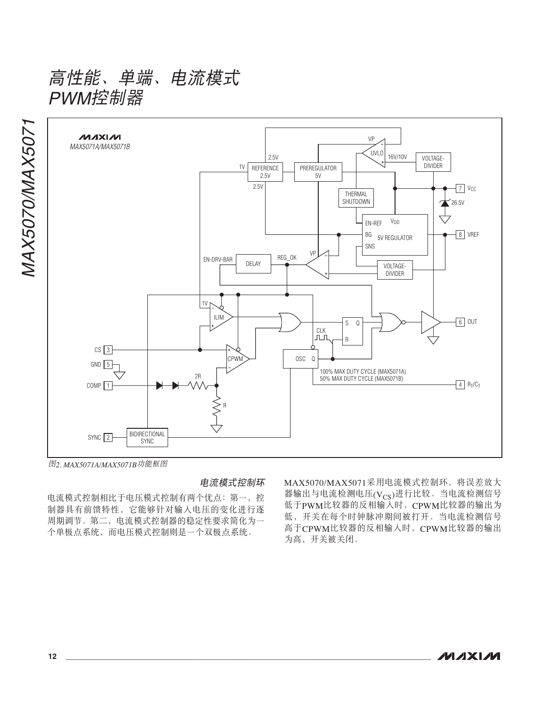

图2. MAX5071A/MAX5071B功能框图

电流模式控制环

电流模式控制相比于电压模式控制有两个优点: 第一, 控 制器具有前馈特性,它能够针对输入电压的变化进行逐 周期调节。第二, 电流模式控制器的稳定性要求简化为一 个单极点系统, 而电压模式控制则是一个双极点系统。

MAX5070/MAX5071采用电流模式控制环, 将误差放大 器输出与电流检测电压(Vcs)进行比较。当电流检测信号 低于PWM比较器的反相输入时, CPWM比较器的输出为 低,开关在每个时钟脉冲期间被打开。当电流检测信号 高于CPWM比较器的反相输入时, CPWM比较器的输出 为高,开关被关闭。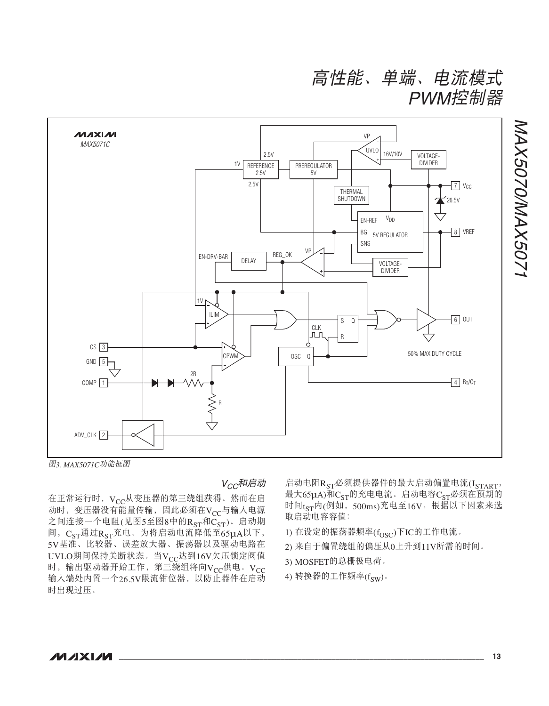高性能、单端、电流模式 PWM控制器



图3. MAX5071C功能框图

V<sub>CC</sub>和启动

在正常运行时, Vcc从变压器的第三绕组获得。然而在启 动时, 变压器没有能量传输, 因此必须在Vcc与输入电源 之间连接一个电阻(见图5至图8中的 $R_{ST}$ 和 $C_{ST}$ )。启动期 间,  $C_{ST}$ 通过 $R_{ST}$ 充电。为将启动电流降低至 $65\mu$ A以下, 5V基准、比较器、误差放大器、振荡器以及驱动电路在 UVLO期间保持关断状态。当V<sub>CC</sub>达到16V欠压锁定阀值 时, 输出驱动器开始工作, 第三绕组将向Vcc供电。Vcc 输入端处内置一个26.5V限流钳位器, 以防止器件在启动 时出现过压。

启动电阻R<sub>ST</sub>必须提供器件的最大启动偏置电流(I<sub>START</sub>, 最大65μA)和C<sub>ST</sub>的充电电流。启动电容C<sub>ST</sub>必须在预期的 时间t<sub>ST</sub>内(例如, 500ms)充电至16V。根据以下因素来选 取启动电容容值:

- 1) 在设定的振荡器频率 $(f_{\rm{OSC}})$ 下IC的工作电流。
- 2) 来自于偏置绕组的偏压从0上升到11V所需的时间。
- 3) MOSFET的总栅极电荷。
- 4) 转换器的工作频率 $(f_{SW})$ 。

MAX5070/MAX5071

MAX5070/MAX5071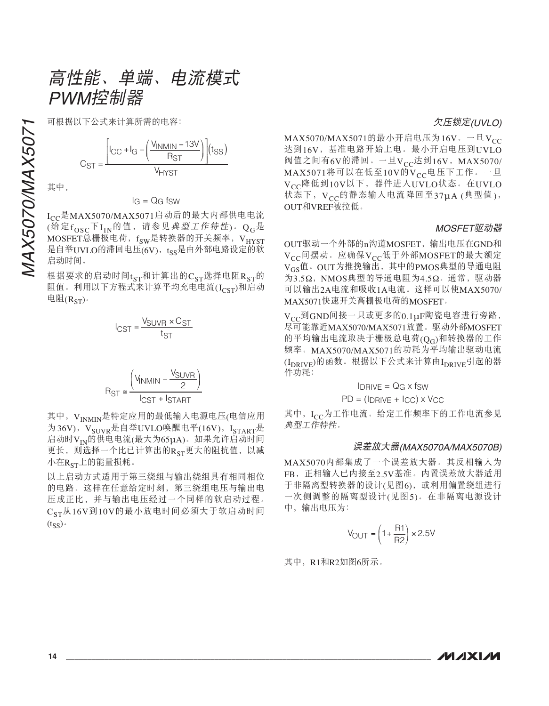高性能、单端、电流模式 PWM控制器

$$
C_{ST} = \frac{\left[ l_{CC} + l_{G} - \left( \frac{V_{INMIN} - 13V}{R_{ST}} \right) \right] (t_{SS})}{V_{H Y ST}}
$$

其中,

#### $IG = QG$  fsw

MAX5070/MAX5071৹ޗযჾ࿒ާੂࣜຑၖو٫൛<sup>ǖ</sup> Icc是MAX5070/MAX5071启动后的最大内部供电电流 (给定 $f_{\rm OSC}$ 下 $I_{\rm IN}$ 的值, 请参见典型工作特性)。 $Q_G$ 是 MOSFET总栅极电荷, fsw是转换器的开关频率, VHYST 是自举UVLO的滞回电压(6V), tss是由外部电路设定的软 启动时间。

根据要求的启动时间 $t_{\text{ST}}$ 和计算出的 $C_{\text{ST}}$ 选择电阻 $R_{\text{ST}}$ 的 阻值。利用以下方程式来计算平均充电电流(Icsr)和启动 电阻 $(R_{ST})$ 。

$$
I_{\text{CST}} = \frac{V_{\text{SUVR}} \times C_{\text{ST}}}{t_{\text{ST}}}
$$

$$
R_{ST} \leq \frac{\left(V_{INMIN} - \frac{V_{SUVR}}{2}\right)}{I_{CST} + I_{START}}
$$

其中, VINMIN是特定应用的最低输入电源电压(电信应用 为36V),V<sub>SUVR</sub>是自举UVLO唤醒电平(16V),I<sub>START</sub>是 启动时VIN的供电电流(最大为65µA)。如果允许启动时间 更长,则选择一个比已计算出的RsT更大的阻抗值,以减  $\Lambda$ 在 $R_{ST}$ 上的能量损耗。

以上启动方式适用于第三绕组与输出绕组具有相同相位 的电路。这样在任意给定时刻, 第三绕组电压与输出电 压成正比,并与输出电压经过一个同样的软启动过程。 C<sub>ST</sub>从16V到10V的最小放电时间必须大于软启动时间  $(t_{SS})$ 

#### 欠压锁定(UVLO)

MAX5070/MAX5071的最小开启电压为16V。一旦V<sub>CC</sub> 达到16V, 基准电路开始上电。最小开启电压到UVLO 阀值之间有6V的滞回。一旦 $V_{CC}$ 达到16V, MAX5070/  $MAX5071$ 将可以在低至 $10V$ 的 $V_{CC}$ 电压下工作。一旦 V<sub>CC</sub>降低到10V以下, 器件进入UVLO状态。在UVLO 状态下,  $V_{CC}$ 的静态输入电流降回至37µA (典型值), OUT和VREF被拉低。

#### MOSFET驱动器

OUT驱动一个外部的n沟道MOSFET, 输出电压在GND和 Vcc间摆动。应确保Vcc低于外部MOSFET的最大额定 VGS值。OUT为推挽输出, 其中的PMOS典型的导通电阻 为3.5Ω, NMOS典型的导通电阻为4.5Ω。通常, 驱动器 可以输出2A电流和吸收1A电流。这样可以使MAX5070/ MAX5071快速开关高栅极电荷的MOSFET。

 $V_{CC}$ 到GND间接一只或更多的 $0.1\mu$ F陶瓷电容进行旁路, 尽可能靠近MAX5070/MAX5071放置。驱动外部MOSFET 的平均输出电流取决于栅极总电荷(QG)和转换器的工作 频率。MAX5070/MAX5071的功耗为平均输出驱动电流 (I<sub>DRIVE</sub>)的函数。根据以下公式来计算由I<sub>DRIVE</sub>引起的器 件功耗:

#### $I$ DRIVE =  $QG \times fSW$

 $PD = (IDRIVE + ICC) \times VCC$ 

其中, Icc为工作电流。给定工作频率下的工作电流参见 典型工作特性。

#### 误差放大器(MAX5070A/MAX5070B)

MAX5070内部集成了一个误差放大器。其反相输入为 FB, 正相输入已内接至2.5V基准。内置误差放大器适用 于非隔离型转换器的设计(见图6), 或利用偏置绕组进行 一次侧调整的隔离型设计(见图5)。在非隔离电源设计 中, 输出电压为:

$$
V_{\text{OUT}} = \left(1 + \frac{\text{R1}}{\text{R2}}\right) \times 2.5 \text{V}
$$

其中, R1和R2如图6所示。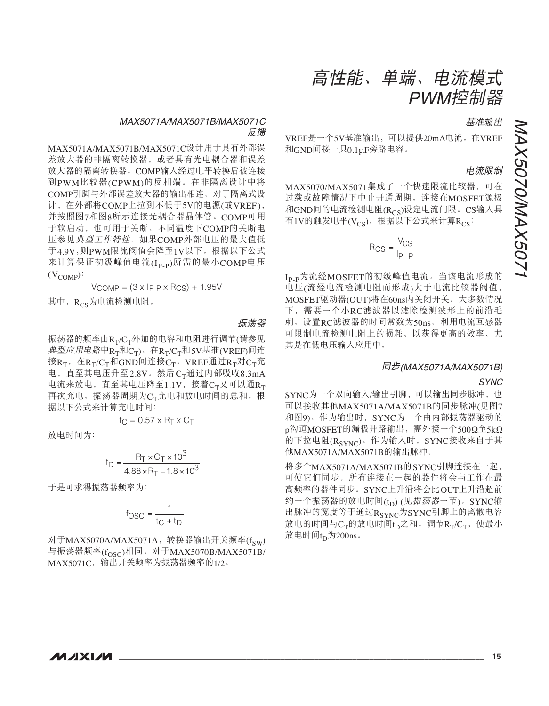#### MAX5071A/MAX5071B/MAX5071C 反馈

MAX5071A/MAX5071B/MAX5071C设计用于具有外部误 差放大器的非隔离转换器, 或者具有光电耦合器和误差 放大器的隔离转换器。COMP输入经过电平转换后被连接 到PWM比较器(CPWM)的反相端。在非隔离设计中将 COMP引脚与外部误差放大器的输出相连。对于隔离式设 计, 在外部将COMP上拉到不低于5V的电源(或VREF), 并按照图7和图8所示连接光耦合器晶体管。COMP可用 于软启动, 也可用于关断。不同温度下COMP的关断电 压参见典型工作特性。如果COMP外部电压的最大值低 于4.9V,则PWM限流阀值会降至1V以下。根据以下公式 来计算保证初级峰值电流(Ipp)所需的最小COMP电压  $(V_{\text{COMP}})$ :

 $V_{COMP} = (3 \times IP - P \times R_{CS}) + 1.95V$ 

其中, Rcs为电流检测电阻。

#### 振荡器

振荡器的频率由 $R_T/C_T$ 外加的电容和电阻进行调节(请参见  $\#$ 型应用电路中 $R_T$ 和 $C_T$ )。在 $R_T/C_T$ 和5V基准(VREF)间连 接 $R_T$ , 在 $R_T/C_T$ 和GND间连接 $C_T$ . VREF通过 $R_T$ 对 $C_T$ 充 电, 直至其电压升至2.8V。然后 $C_T$ 通过内部吸收8.3mA 电流来放电, 直至其电压降至1.1V, 接着CT又可以通RT 再次充电。振荡器周期为CT充电和放电时间的总和。根 据以下公式来计算充电时间:

$$
t_C = 0.57 \times R_T \times C_T
$$

放电时间为:

$$
t_{D} = \frac{R_{T} \times C_{T} \times 10^{3}}{4.88 \times R_{T} - 1.8 \times 10^{3}}
$$

干是可求得振荡器频率为:

$$
f_{\text{OSC}} = \frac{1}{t_{\text{C}} + t_{\text{D}}}
$$

对于MAX5070A/MAX5071A, 转换器输出开关频率(fsw) 与振荡器频率(f<sub>OSC</sub>)相同。对于MAX5070B/MAX5071B/ MAX5071C, 输出开关频率为振荡器频率的1/2。

$$
f_{\rm{max}}
$$

基准输出

### 电流限制

 $MAX5070/MAX5071$ 集成了一个快速限流比较器, 可在 过载或故障情况下中止开通周期。连接在MOSFET源极 和GND间的电流检测电阻(Rcs)设定电流门限。CS输入具 有1V的触发电平(Vcs)。根据以下公式来计算Rcs:

VREF是一个5V基准输出,可以提供20mA电流。在VREF

和GND间接一只0.1µF旁路电容。

$$
R_{CS} = \frac{V_{CS}}{I_{P-P}}
$$

Ip\_p为流经MOSFET的初级峰值电流。当该电流形成的 电压(流经电流检测电阻而形成)大于电流比较器阀值, MOSFET驱动器(OUT)将在60ns内关闭开关。大多数情况 下,需要一个小RC滤波器以滤除检测波形上的前沿毛 刺。设置RC滤波器的时间常数为50ns。利用电流互感器 可限制电流检测电阻上的损耗,以获得更高的效率,尤 其是在低电压输入应用中。

#### ༀԧ(MAX5071A/MAX5071B)

#### SYNC

SYNC为一个双向输入/输出引脚,可以输出同步脉冲, 也 可以接收其他MAX5071A/MAX5071B的同步脉冲(见图7 和图9)。作为输出时, SYNC为一个由内部振荡器驱动的 p沟道MOSFET的漏极开路输出, 需外接一个500Ω至5kΩ 的下拉电阻 $(R_{\text{cynC}})$ 。作为输入时, SYNC接收来自于其 他MAX5071A/MAX5071B的输出脉冲。

将多个MAX5071A/MAX5071B的SYNC引脚连接在一起, 可使它们同步。所有连接在一起的器件将会与工作在最 高频率的器件同步。SYNC上升沿将会比OUT上升沿超前 约一个振荡器的放电时间(tp) (见振荡器一节)。SYNC输 出脉冲的宽度等于通过 $R_{SYNC}$ 为SYNC引脚上的离散电容 放电的时间与 $C_T$ 的放电时间 $t_D$ 之和。调节 $R_T/C_T$ , 使最小 放电时间 $t_D$ 为 $200$ ns。

MAX5070/MAX5071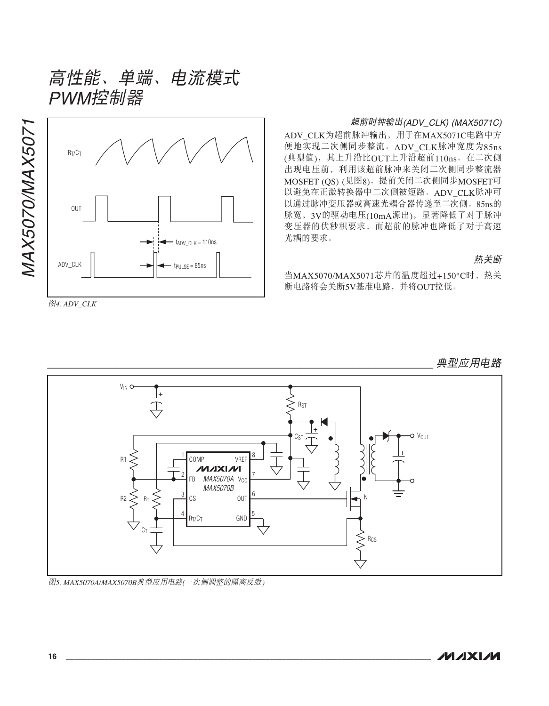

高性能、单端、电流模式

༐*4. ADV\_CLK*

#### 超前时钟输出(ADV\_CLK) (MAX5071C)

ADV\_CLK为超前脉冲输出, 用于在MAX5071C电路中方 便地实现二次侧同步整流。ADV\_CLK脉冲宽度为85ns (典型值), 其上升沿比OUT上升沿超前110ns。在二次侧 出现电压前, 利用该超前脉冲来关闭二次侧同步整流器 MOSFET (OS) (见图8)。提前关闭二次侧同步MOSFET可 以避免在正激转换器中二次侧被短路。ADV CLK脉冲可 以通过脉冲变压器或高速光耦合器传递至二次侧。85ns的 脉宽, 3V的驱动电压(10mA源出), 显著降低了对于脉冲 变压器的伏秒积要求、而超前的脉冲也降低了对于高速 光耦的要求。

#### 热关断

典型应用电路

当MAX5070/MAX5071芯片的温度超过+150°C时, 热关 断电路将会关断5V基准电路,并将OUT拉低。

#### $V_{\text{IN}}$  O |+ **R<sub>ST</sub>** O V<sub>OUT</sub> 1 COMP 8 R1 MP VREF<br>**/v1***x***1x1/v1** 2 7 FB *MAX5070A* v<sub>cc</sub> MAX5070B 3 6 R2 OUT CS N RT 4 5 GND R<sub>T</sub>/C<sub>T</sub> C<sub>1</sub> RCS

图5. MAX5070A/MAX5070B典型应用电路(一次侧调整的隔离反激)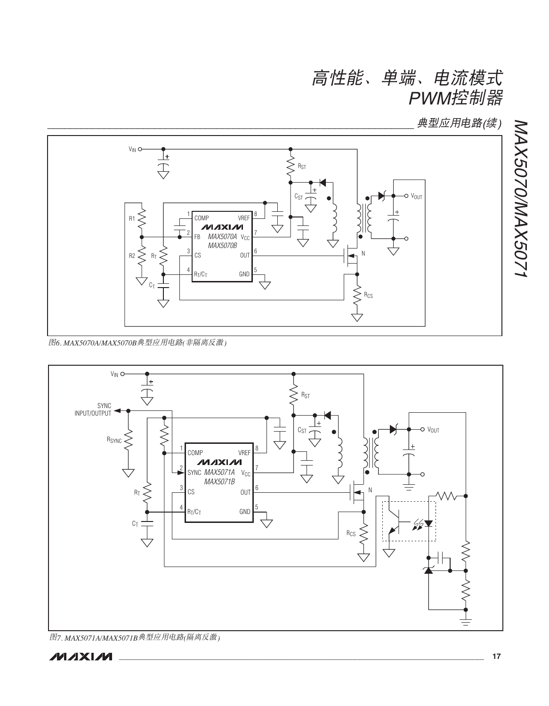典型应用电路(续)

MAX5070/MAX5071



图6. MAX5070A/MAX5070B典型应用电路(非隔离反激)



图7. MAX5071A/MAX5071B典型应用电路(隔离反激)

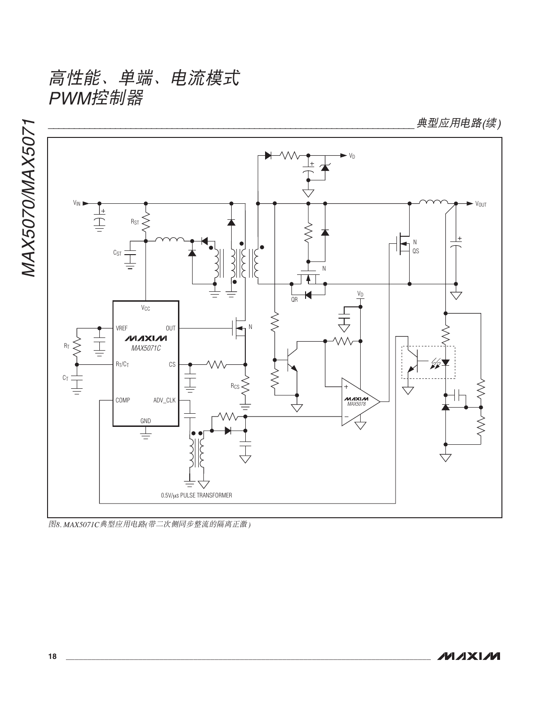高性能、单端、电流模式 PWM控制器

MAX5070/MAX5071 V<sub>D</sub> VIN **VOUT** 上手 R<sub>ST</sub>  $\sum_{\alpha s}^N$  $c_{ST} \underline{\frac{1}{\frac{1}{1}}}\end{bmatrix}$  $\widetilde{\zeta}$  $\left\{ \begin{array}{c} 1 \\ 2 \end{array} \right\}$ N  $\overline{\bigtriangledown}$  $V_D$  $\overline{AB}$  $V_{\text{CC}}$ 寺  $\lessgtr$ **OUT**  $\sf N$ VREF d. 士 **MAXIM**  $\lessgtr$ MAX5071C  $R_T/C_T$ 6 CS  $\lessgtr$  $C_T \frac{1}{\frac{1}{\sqrt{1-\frac{1}{2}}}}$  $MAXIM$ COMP ADV\_CLK GND  $\overline{\pm}$  $=$ 0.5V/µs PULSE TRANSFORMER

典型应用电路(续)

图8. MAX5071C典型应用电路(带二次侧同步整流的隔离正激)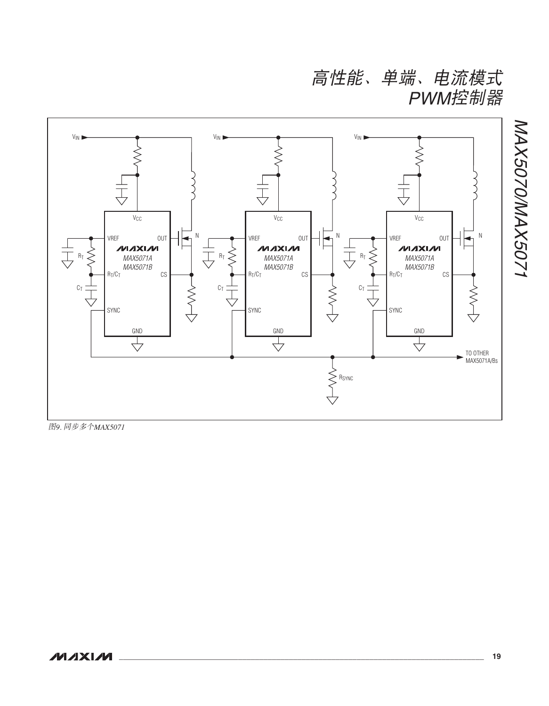高性能、单端、电流模式 PWM控制器



图9. 同步多个MAX5071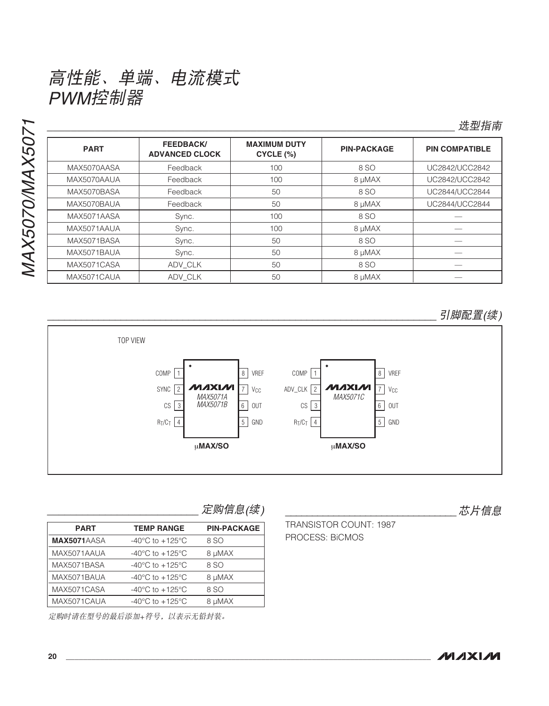

### 选型指南

| <b>PART</b> | <b>FEEDBACK/</b><br><b>ADVANCED CLOCK</b> | <b>MAXIMUM DUTY</b><br>CYCLE (%) | <b>PIN-PACKAGE</b> | <b>PIN COMPATIBLE</b> |
|-------------|-------------------------------------------|----------------------------------|--------------------|-----------------------|
| MAX5070AASA | Feedback                                  | 100                              | 8 SO               | UC2842/UCC2842        |
| MAX5070AAUA | Feedback                                  | 100                              | 8 µMAX             | UC2842/UCC2842        |
| MAX5070BASA | Feedback                                  | 50                               | 8 SO               | UC2844/UCC2844        |
| MAX5070BAUA | Feedback                                  | 50                               | 8 µMAX             | UC2844/UCC2844        |
| MAX5071AASA | Sync.                                     | 100                              | 8 SO               |                       |
| MAX5071AAUA | Sync.                                     | 100                              | 8 µMAX             |                       |
| MAX5071BASA | Sync.                                     | 50                               | 8 SO               |                       |
| MAX5071BAUA | Sync.                                     | 50                               | 8 µMAX             |                       |
| MAX5071CASA | ADV CLK                                   | 50                               | 8 SO               |                       |
| MAX5071CAUA | ADV CLK                                   | 50                               | 8 µMAX             |                       |

引脚配置(续)



定购信息(续)

| <b>PART</b> | <b>TEMP RANGE</b>                     | <b>PIN-PACKAGE</b> |
|-------------|---------------------------------------|--------------------|
| MAX5071AASA | -40 $^{\circ}$ C to +125 $^{\circ}$ C | 8 SO               |
| MAX5071AAUA | $-40^{\circ}$ C to $+125^{\circ}$ C   | 8 µMAX             |
| MAX5071BASA | $-40^{\circ}$ C to $+125^{\circ}$ C   | 8 SO               |
| MAX5071BAUA | $-40^{\circ}$ C to $+125^{\circ}$ C   | 8 µMAX             |
| MAX5071CASA | $-40^{\circ}$ C to $+125^{\circ}$ C   | 8 SO               |
| MAX5071CAUA | $-40^{\circ}$ C to $+125^{\circ}$ C   | 8 µMAX             |

定购时请在型号的最后添加+符号,以表示无铅封装。

芯片信息

TRANSISTOR COUNT: 1987 PROCESS: BICMOS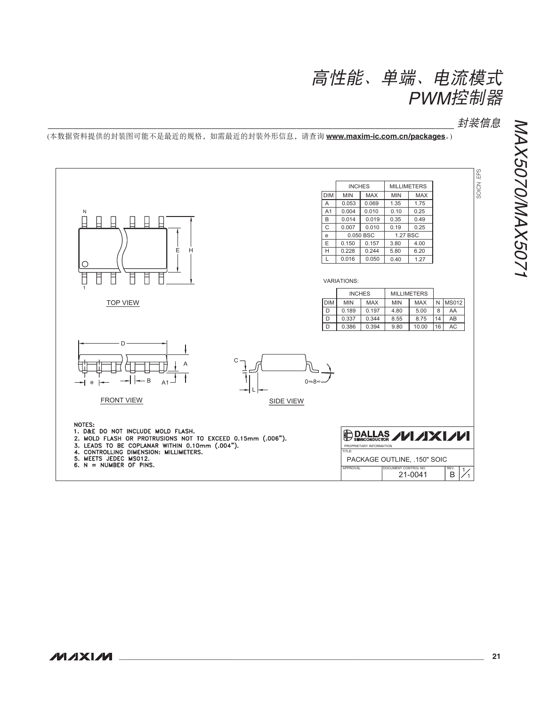

封装信息

(本数据资料提供的封装图可能不是最近的规格,如需最近的封装外形信息,请查询 www.maxim-ic.com.cn/packaqes。)